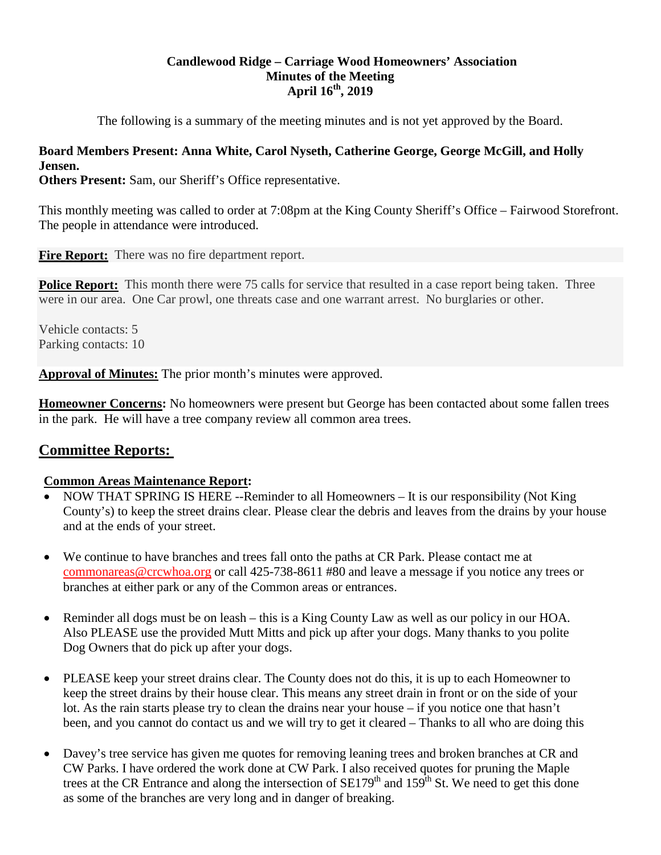# **Candlewood Ridge – Carriage Wood Homeowners' Association Minutes of the Meeting April 16th, 2019**

The following is a summary of the meeting minutes and is not yet approved by the Board.

# **Board Members Present: Anna White, Carol Nyseth, Catherine George, George McGill, and Holly Jensen.**

**Others Present:** Sam, our Sheriff's Office representative.

This monthly meeting was called to order at 7:08pm at the King County Sheriff's Office – Fairwood Storefront. The people in attendance were introduced.

**Fire Report:** There was no fire department report.

**Police Report:** This month there were 75 calls for service that resulted in a case report being taken. Three were in our area. One Car prowl, one threats case and one warrant arrest. No burglaries or other.

Vehicle contacts: 5 Parking contacts: 10

**Approval of Minutes:** The prior month's minutes were approved.

**Homeowner Concerns:** No homeowners were present but George has been contacted about some fallen trees in the park. He will have a tree company review all common area trees.

# **Committee Reports:**

# **Common Areas Maintenance Report:**

- NOW THAT SPRING IS HERE --Reminder to all Homeowners It is our responsibility (Not King County's) to keep the street drains clear. Please clear the debris and leaves from the drains by your house and at the ends of your street.
- We continue to have branches and trees fall onto the paths at CR Park. Please contact me at [commonareas@crcwhoa.org](mailto:commonareas@crcwhoa.org) or call 425-738-8611 #80 and leave a message if you notice any trees or branches at either park or any of the Common areas or entrances.
- Reminder all dogs must be on leash this is a King County Law as well as our policy in our HOA. Also PLEASE use the provided Mutt Mitts and pick up after your dogs. Many thanks to you polite Dog Owners that do pick up after your dogs.
- PLEASE keep your street drains clear. The County does not do this, it is up to each Homeowner to keep the street drains by their house clear. This means any street drain in front or on the side of your lot. As the rain starts please try to clean the drains near your house – if you notice one that hasn't been, and you cannot do contact us and we will try to get it cleared – Thanks to all who are doing this
- Davey's tree service has given me quotes for removing leaning trees and broken branches at CR and CW Parks. I have ordered the work done at CW Park. I also received quotes for pruning the Maple trees at the CR Entrance and along the intersection of  $SE179<sup>th</sup>$  and  $159<sup>th</sup>$  St. We need to get this done as some of the branches are very long and in danger of breaking.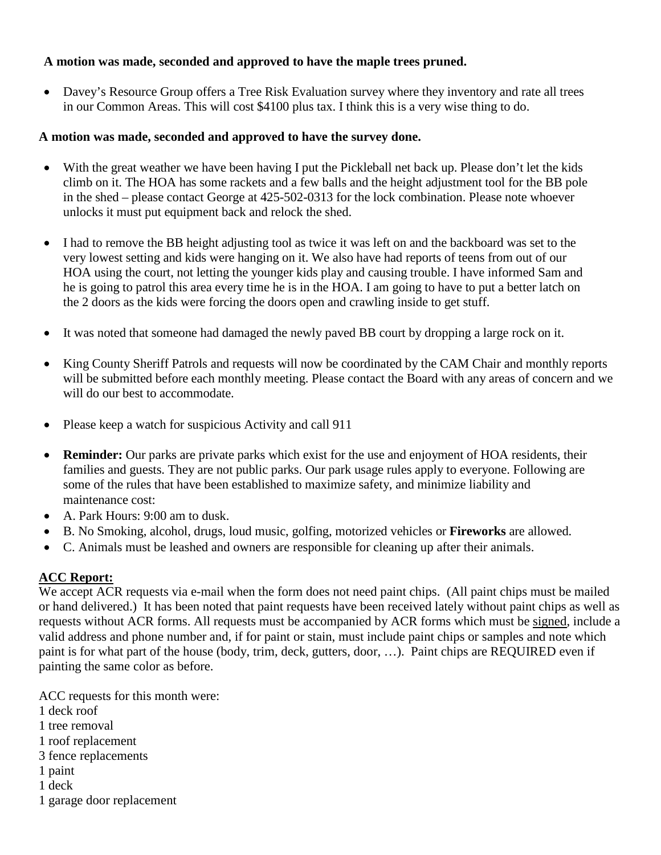# **A motion was made, seconded and approved to have the maple trees pruned.**

• Davey's Resource Group offers a Tree Risk Evaluation survey where they inventory and rate all trees in our Common Areas. This will cost \$4100 plus tax. I think this is a very wise thing to do.

# **A motion was made, seconded and approved to have the survey done.**

- With the great weather we have been having I put the Pickleball net back up. Please don't let the kids climb on it. The HOA has some rackets and a few balls and the height adjustment tool for the BB pole in the shed – please contact George at 425-502-0313 for the lock combination. Please note whoever unlocks it must put equipment back and relock the shed.
- I had to remove the BB height adjusting tool as twice it was left on and the backboard was set to the very lowest setting and kids were hanging on it. We also have had reports of teens from out of our HOA using the court, not letting the younger kids play and causing trouble. I have informed Sam and he is going to patrol this area every time he is in the HOA. I am going to have to put a better latch on the 2 doors as the kids were forcing the doors open and crawling inside to get stuff.
- It was noted that someone had damaged the newly paved BB court by dropping a large rock on it.
- King County Sheriff Patrols and requests will now be coordinated by the CAM Chair and monthly reports will be submitted before each monthly meeting. Please contact the Board with any areas of concern and we will do our best to accommodate.
- Please keep a watch for suspicious Activity and call 911
- **Reminder:** Our parks are private parks which exist for the use and enjoyment of HOA residents, their families and guests. They are not public parks. Our park usage rules apply to everyone. Following are some of the rules that have been established to maximize safety, and minimize liability and maintenance cost:
- A. Park Hours: 9:00 am to dusk.
- B. No Smoking, alcohol, drugs, loud music, golfing, motorized vehicles or **Fireworks** are allowed.
- C. Animals must be leashed and owners are responsible for cleaning up after their animals.

# **ACC Report:**

We accept ACR requests via e-mail when the form does not need paint chips. (All paint chips must be mailed or hand delivered.) It has been noted that paint requests have been received lately without paint chips as well as requests without ACR forms. All requests must be accompanied by ACR forms which must be signed, include a valid address and phone number and, if for paint or stain, must include paint chips or samples and note which paint is for what part of the house (body, trim, deck, gutters, door, …). Paint chips are REQUIRED even if painting the same color as before.

ACC requests for this month were:

- 1 deck roof
- 1 tree removal
- 1 roof replacement
- 3 fence replacements
- 1 paint
- 1 deck
- 1 garage door replacement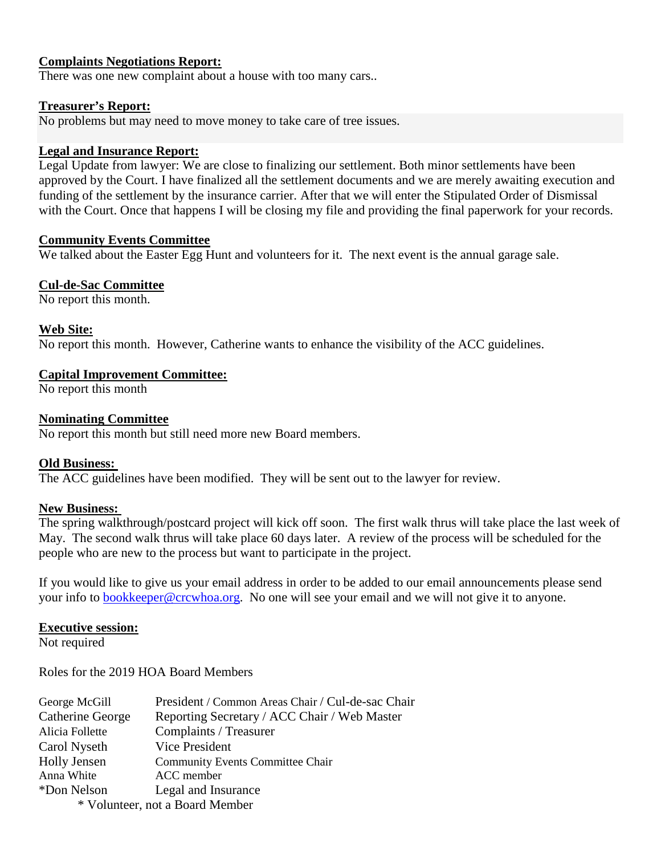# **Complaints Negotiations Report:**

There was one new complaint about a house with too many cars..

### **Treasurer's Report:**

No problems but may need to move money to take care of tree issues.

### **Legal and Insurance Report:**

Legal Update from lawyer: We are close to finalizing our settlement. Both minor settlements have been approved by the Court. I have finalized all the settlement documents and we are merely awaiting execution and funding of the settlement by the insurance carrier. After that we will enter the Stipulated Order of Dismissal with the Court. Once that happens I will be closing my file and providing the final paperwork for your records.

# **Community Events Committee**

We talked about the Easter Egg Hunt and volunteers for it. The next event is the annual garage sale.

# **Cul-de-Sac Committee**

No report this month.

# **Web Site:**

No report this month. However, Catherine wants to enhance the visibility of the ACC guidelines.

# **Capital Improvement Committee:**

No report this month

# **Nominating Committee**

No report this month but still need more new Board members.

#### **Old Business:**

The ACC guidelines have been modified. They will be sent out to the lawyer for review.

#### **New Business:**

The spring walkthrough/postcard project will kick off soon. The first walk thrus will take place the last week of May. The second walk thrus will take place 60 days later. A review of the process will be scheduled for the people who are new to the process but want to participate in the project.

If you would like to give us your email address in order to be added to our email announcements please send your info to [bookkeeper@crcwhoa.org.](mailto:bookkeeper@crcwhoa.org) No one will see your email and we will not give it to anyone.

#### **Executive session:**

Not required

Roles for the 2019 HOA Board Members

| George McGill                   | President / Common Areas Chair / Cul-de-sac Chair |
|---------------------------------|---------------------------------------------------|
| Catherine George                | Reporting Secretary / ACC Chair / Web Master      |
| Alicia Follette                 | Complaints / Treasurer                            |
| Carol Nyseth                    | Vice President                                    |
| Holly Jensen                    | <b>Community Events Committee Chair</b>           |
| Anna White                      | ACC member                                        |
| *Don Nelson                     | Legal and Insurance                               |
| * Volunteer, not a Board Member |                                                   |